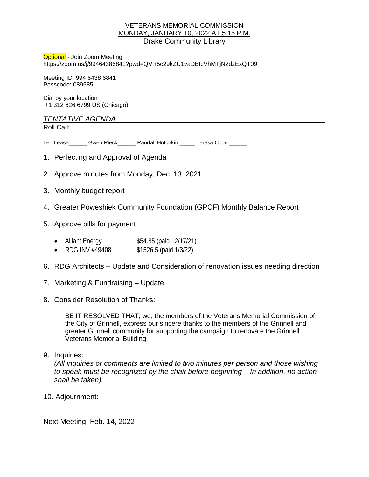#### VETERANS MEMORIAL COMMISSION MONDAY, JANUARY 10, 2022 AT 5:15 P.M. Drake Community Library

Optional - Join Zoom Meeting <https://zoom.us/j/99464386841?pwd=QVR5c29kZU1vaDBIcVhMTjN2dzExQT09>

Meeting ID: 994 6438 6841 Passcode: 089585

Dial by your location +1 312 626 6799 US (Chicago)

### *TENTATIVE AGENDA*

Roll Call:

Leo Lease\_\_\_\_\_\_ Gwen Rieck\_\_\_\_\_\_ Randall Hotchkin \_\_\_\_\_ Teresa Coon \_\_\_\_\_\_

- 1. Perfecting and Approval of Agenda
- 2. Approve minutes from Monday, Dec. 13, 2021
- 3. Monthly budget report
- 4. Greater Poweshiek Community Foundation (GPCF) Monthly Balance Report
- 5. Approve bills for payment
	- Alliant Energy \$54.85 (paid 12/17/21)
	- RDG INV #49408 \$1526.5 (paid 1/3/22)
- 6. RDG Architects Update and Consideration of renovation issues needing direction
- 7. Marketing & Fundraising Update
- 8. Consider Resolution of Thanks:

BE IT RESOLVED THAT, we, the members of the Veterans Memorial Commission of the City of Grinnell, express our sincere thanks to the members of the Grinnell and greater Grinnell community for supporting the campaign to renovate the Grinnell Veterans Memorial Building.

9. Inquiries:

*(All inquiries or comments are limited to two minutes per person and those wishing to speak must be recognized by the chair before beginning – In addition, no action shall be taken).*

10. Adjournment:

Next Meeting: Feb. 14, 2022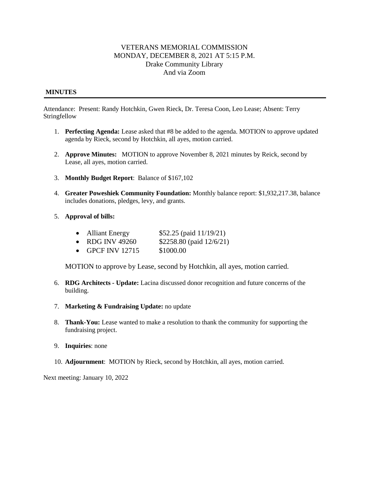### VETERANS MEMORIAL COMMISSION MONDAY, DECEMBER 8, 2021 AT 5:15 P.M. Drake Community Library And via Zoom

#### **MINUTES**

Attendance: Present: Randy Hotchkin, Gwen Rieck, Dr. Teresa Coon, Leo Lease; Absent: Terry Stringfellow

- 1. **Perfecting Agenda:** Lease asked that #8 be added to the agenda. MOTION to approve updated agenda by Rieck, second by Hotchkin, all ayes, motion carried.
- 2. **Approve Minutes:** MOTION to approve November 8, 2021 minutes by Reick, second by Lease, all ayes, motion carried.
- 3. **Monthly Budget Report**: Balance of \$167,102
- 4. **Greater Poweshiek Community Foundation:** Monthly balance report: \$1,932,217.38, balance includes donations, pledges, levy, and grants.
- 5. **Approval of bills:**
	- Alliant Energy  $$52.25$  (paid  $11/19/21$ )
	- RDG INV 49260  $$2258.80$  (paid  $12/6/21$ )
	- GPCF INV 12715 \$1000.00

MOTION to approve by Lease, second by Hotchkin, all ayes, motion carried.

- 6. **RDG Architects - Update:** Lacina discussed donor recognition and future concerns of the building.
- 7. **Marketing & Fundraising Update:** no update
- 8. **Thank-You:** Lease wanted to make a resolution to thank the community for supporting the fundraising project.
- 9. **Inquiries**: none
- 10. **Adjournment**: MOTION by Rieck, second by Hotchkin, all ayes, motion carried.

Next meeting: January 10, 2022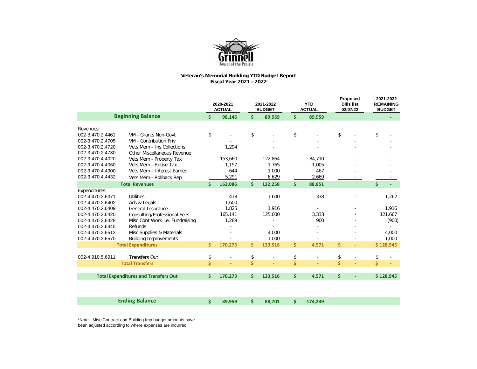

## **Veteran's Memorial Building YTD Budget Report Fiscal Year 2021 - 2022**

|                          |                                             |                         | 2020-2021<br><b>ACTUAL</b> |                    | 2021-2022<br><b>BUDGET</b> |                     | <b>YTD</b><br><b>ACTUAL</b> |                    | Proposed<br><b>Bills list</b><br>02/07/22 |                    | 2021-2022<br><b>REMAINING</b><br><b>BUDGET</b> |
|--------------------------|---------------------------------------------|-------------------------|----------------------------|--------------------|----------------------------|---------------------|-----------------------------|--------------------|-------------------------------------------|--------------------|------------------------------------------------|
| <b>Beginning Balance</b> |                                             | $\boldsymbol{\zeta}$    | 98,146                     | \$                 | 89,959                     | \$                  | 89,959                      |                    |                                           |                    |                                                |
| Revenues:                |                                             |                         |                            |                    |                            |                     |                             |                    |                                           |                    |                                                |
| 002-3.470.2.4461         | VM - Grants Non-Govt                        | \$                      |                            | \$                 |                            | $\pmb{\mathsf{\$}}$ |                             | \$                 |                                           | \$                 |                                                |
| 002-3.470.2.4705         | VM - Contribution Priv                      |                         |                            |                    |                            |                     |                             |                    |                                           |                    |                                                |
| 002-3.470.2.4720         | Vets Mem - Ins Collections                  |                         | 1,294                      |                    |                            |                     |                             |                    |                                           |                    |                                                |
| 002-3.470.2.4780         | <b>Other Miscellaneous Revenue</b>          |                         |                            |                    |                            |                     |                             |                    |                                           |                    |                                                |
| 002-3.470.4.4020         | Vets Mem - Property Tax                     |                         | 153,660                    |                    | 122,864                    |                     | 84,710                      |                    |                                           |                    |                                                |
| 002-3.470.4.4060         | Vets Mem - Excise Tax                       |                         | 1,197                      |                    | 1,765                      |                     | 1,005                       |                    |                                           |                    |                                                |
| 002-3.470.4.4300         | Vets Mem - Interest Earned                  |                         | 644                        |                    | 1,000                      |                     | 467                         |                    |                                           |                    |                                                |
| 002-3.470.4.4432         | Vets Mem - Rollback Rep                     |                         | 5,291                      |                    | 6,629                      |                     | 2,669                       |                    |                                           |                    |                                                |
|                          | <b>Total Revenues</b>                       | Ś.                      | 162,086                    | $\mathsf{\dot{S}}$ | 132,258                    | \$                  | 88,851                      |                    |                                           | $\mathsf{\dot{S}}$ |                                                |
| Expenditures:            |                                             |                         |                            |                    |                            |                     |                             |                    |                                           |                    |                                                |
| 002-4.470.2.6371         | <b>Utilities</b>                            |                         | 418                        |                    | 1,600                      |                     | 338                         |                    |                                           |                    | 1,262                                          |
| 002-4.470.2.6402         | Ads & Legals                                |                         | 1,600                      |                    |                            |                     |                             |                    |                                           |                    |                                                |
| 002-4.470.2.6409         | General Insurance                           |                         | 1,825                      |                    | 1,916                      |                     | $\blacksquare$              |                    |                                           |                    | 1,916                                          |
| 002-4.470.2.6420         | <b>Consulting/Professional Fees</b>         |                         | 165,141                    |                    | 125,000                    |                     | 3,333                       |                    |                                           |                    | 121,667                                        |
| 002-4.470.2.6428         | Misc Cont Work i.e. Fundraising             |                         | 1,289                      |                    |                            |                     | 900                         |                    |                                           |                    | (900)                                          |
| 002-4.470.2.6445         | Refunds                                     |                         |                            |                    |                            |                     |                             |                    |                                           |                    |                                                |
| 002-4.470.2.6513         | Misc Supplies & Materials                   |                         |                            |                    | 4,000                      |                     |                             |                    |                                           |                    | 4,000                                          |
| 002-4.470.3.6570         | <b>Building Improvements</b>                |                         |                            |                    | 1,000                      |                     |                             |                    |                                           |                    | 1,000                                          |
|                          | <b>Total Expenditures</b>                   | \$                      | 170,273                    | \$                 | 133,516                    | \$                  | 4,571                       | \$                 | $\overline{\phantom{a}}$                  |                    | \$128,945                                      |
| 002-4.910.5.6911         | <b>Transfers Out</b>                        | \$                      | $\blacksquare$             | \$                 | $\overline{\phantom{a}}$   | \$                  | $\blacksquare$              | \$                 |                                           | \$                 | $\overline{\phantom{a}}$                       |
|                          | <b>Total Transfers</b>                      | $\overline{\mathsf{S}}$ | u,                         | $\dot{\mathsf{S}}$ | ä,                         | \$                  | ä,                          | $\dot{\mathsf{S}}$ | $\equiv$                                  | $\dot{\mathsf{S}}$ |                                                |
|                          |                                             |                         |                            |                    |                            |                     |                             |                    |                                           |                    |                                                |
|                          | <b>Total Expenditures and Transfers Out</b> | Ŝ.                      | 170,273                    | \$                 | 133,516                    | \$                  | 4,571                       | \$                 | $\blacksquare$                            |                    | \$128,945                                      |
|                          |                                             |                         |                            |                    |                            |                     |                             |                    |                                           |                    |                                                |
|                          | <b>Ending Balance</b>                       | \$                      | 89,959                     | \$                 | 88,701                     | \$                  | 174,239                     |                    |                                           |                    |                                                |

\*Note - Misc Contract and Building Imp budget amounts have been adjusted according to where expenses are incurred.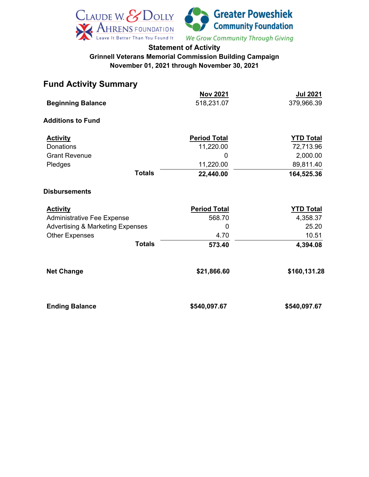

## **Statement of Activity Grinnell Veterans Memorial Commission Building Campaign November 01, 2021 through November 30, 2021**

# **Fund Activity Summary**

|                                             |               | <b>Nov 2021</b>     | <u>Jul 2021</u>  |
|---------------------------------------------|---------------|---------------------|------------------|
| <b>Beginning Balance</b>                    |               | 518,231.07          | 379,966.39       |
| <b>Additions to Fund</b>                    |               |                     |                  |
| <b>Activity</b>                             |               | <b>Period Total</b> | <b>YTD Total</b> |
| <b>Donations</b>                            |               | 11,220.00           | 72,713.96        |
| <b>Grant Revenue</b>                        |               | 0                   | 2,000.00         |
| Pledges                                     |               | 11,220.00           | 89,811.40        |
|                                             | <b>Totals</b> | 22,440.00           | 164,525.36       |
| <b>Disbursements</b>                        |               |                     |                  |
| <b>Activity</b>                             |               | <b>Period Total</b> | <b>YTD Total</b> |
| <b>Administrative Fee Expense</b>           |               | 568.70              | 4,358.37         |
| <b>Advertising &amp; Marketing Expenses</b> |               | 0                   | 25.20            |
| <b>Other Expenses</b>                       |               | 4.70                | 10.51            |
|                                             | <b>Totals</b> | 573.40              | 4,394.08         |
| <b>Net Change</b>                           |               | \$21,866.60         | \$160,131.28     |
| <b>Ending Balance</b>                       |               | \$540,097.67        | \$540,097.67     |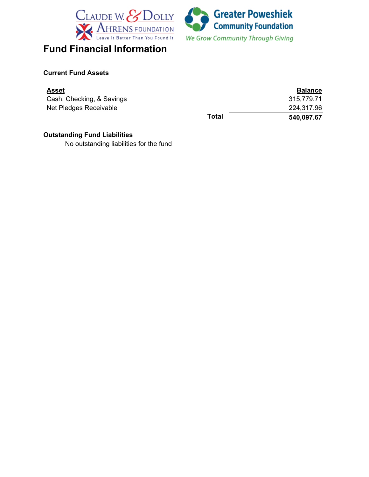



### **Current Fund Assets**

| Asset                     |       | <b>Balance</b> |
|---------------------------|-------|----------------|
| Cash, Checking, & Savings |       | 315,779.71     |
| Net Pledges Receivable    |       | 224,317.96     |
|                           | Total | 540,097.67     |

## **Outstanding Fund Liabilities**

No outstanding liabilities for the fund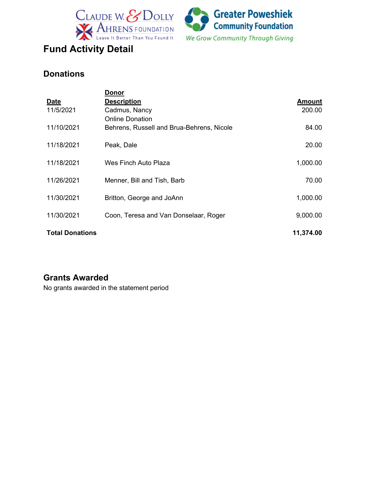



# **Donations**

|                        | <u>Donor</u>                              |               |
|------------------------|-------------------------------------------|---------------|
| <b>Date</b>            | <b>Description</b>                        | <b>Amount</b> |
| 11/5/2021              | Cadmus, Nancy                             | 200.00        |
|                        | <b>Online Donation</b>                    |               |
| 11/10/2021             | Behrens, Russell and Brua-Behrens, Nicole | 84.00         |
|                        |                                           |               |
| 11/18/2021             | Peak, Dale                                | 20.00         |
|                        |                                           |               |
| 11/18/2021             | Wes Finch Auto Plaza                      | 1,000.00      |
| 11/26/2021             | Menner, Bill and Tish, Barb               | 70.00         |
|                        |                                           |               |
| 11/30/2021             | Britton, George and JoAnn                 | 1,000.00      |
|                        |                                           |               |
| 11/30/2021             | Coon, Teresa and Van Donselaar, Roger     | 9,000.00      |
|                        |                                           |               |
| <b>Total Donations</b> |                                           | 11,374.00     |

# **Grants Awarded**

No grants awarded in the statement period